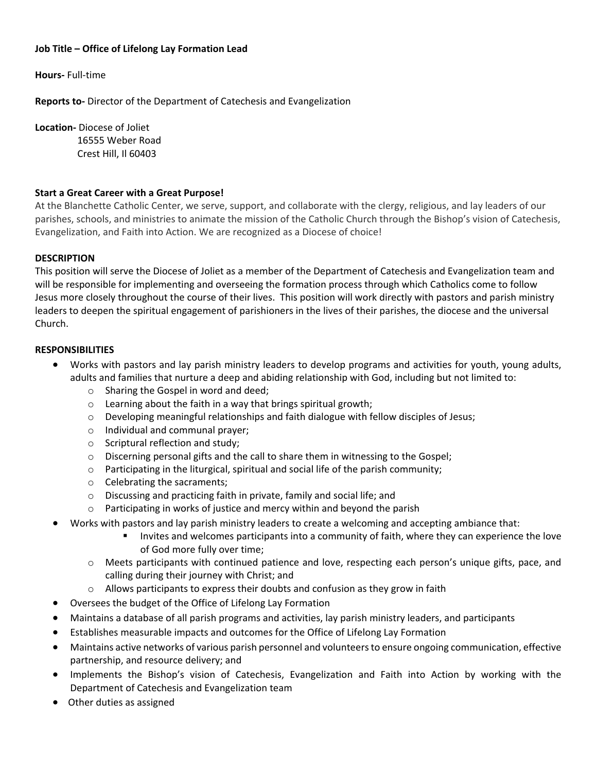### **Job Title – Office of Lifelong Lay Formation Lead**

**Hours-** Full-time

**Reports to-** Director of the Department of Catechesis and Evangelization

**Location-** Diocese of Joliet

 16555 Weber Road Crest Hill, Il 60403

### **Start a Great Career with a Great Purpose!**

At the Blanchette Catholic Center, we serve, support, and collaborate with the clergy, religious, and lay leaders of our parishes, schools, and ministries to animate the mission of the Catholic Church through the Bishop's vision of Catechesis, Evangelization, and Faith into Action. We are recognized as a Diocese of choice!

# **DESCRIPTION**

This position will serve the Diocese of Joliet as a member of the Department of Catechesis and Evangelization team and will be responsible for implementing and overseeing the formation process through which Catholics come to follow Jesus more closely throughout the course of their lives. This position will work directly with pastors and parish ministry leaders to deepen the spiritual engagement of parishioners in the lives of their parishes, the diocese and the universal Church.

### **RESPONSIBILITIES**

- Works with pastors and lay parish ministry leaders to develop programs and activities for youth, young adults, adults and families that nurture a deep and abiding relationship with God, including but not limited to:
	- o Sharing the Gospel in word and deed;
	- o Learning about the faith in a way that brings spiritual growth;
	- o Developing meaningful relationships and faith dialogue with fellow disciples of Jesus;
	- o Individual and communal prayer;
	- o Scriptural reflection and study;
	- $\circ$  Discerning personal gifts and the call to share them in witnessing to the Gospel;
	- o Participating in the liturgical, spiritual and social life of the parish community;
	- o Celebrating the sacraments;
	- o Discussing and practicing faith in private, family and social life; and
	- o Participating in works of justice and mercy within and beyond the parish
- Works with pastors and lay parish ministry leaders to create a welcoming and accepting ambiance that:
	- **Invites and welcomes participants into a community of faith, where they can experience the love** of God more fully over time;
	- o Meets participants with continued patience and love, respecting each person's unique gifts, pace, and calling during their journey with Christ; and
	- o Allows participants to express their doubts and confusion as they grow in faith
- Oversees the budget of the Office of Lifelong Lay Formation
- Maintains a database of all parish programs and activities, lay parish ministry leaders, and participants
- Establishes measurable impacts and outcomes for the Office of Lifelong Lay Formation
- Maintains active networks of various parish personnel and volunteers to ensure ongoing communication, effective partnership, and resource delivery; and
- Implements the Bishop's vision of Catechesis, Evangelization and Faith into Action by working with the Department of Catechesis and Evangelization team
- Other duties as assigned